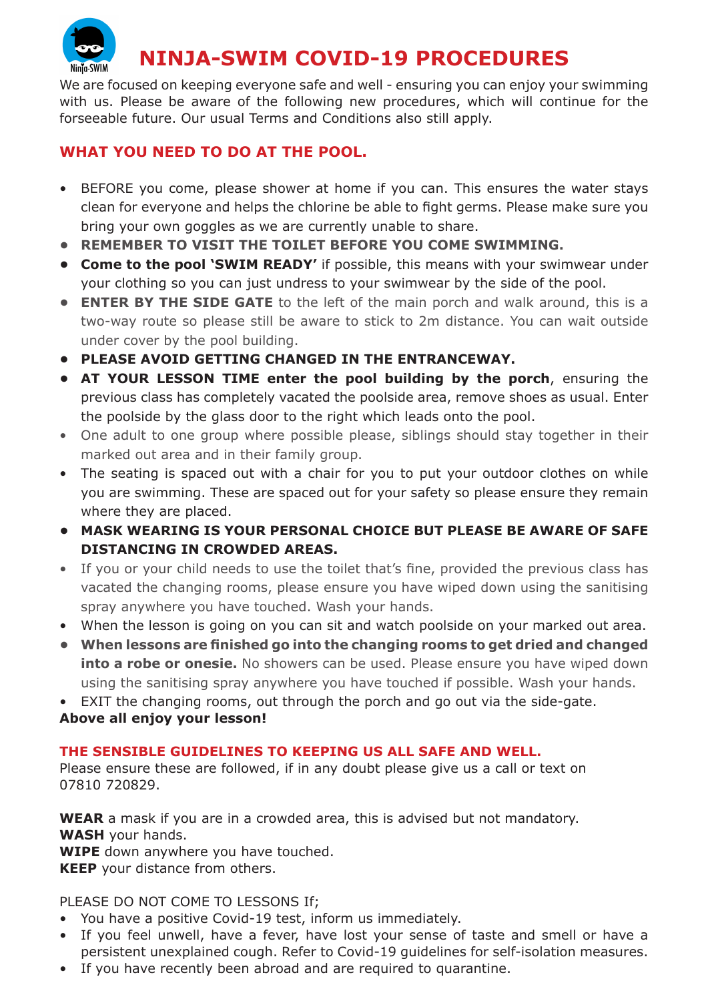

We are focused on keeping everyone safe and well - ensuring you can enjoy your swimming with us. Please be aware of the following new procedures, which will continue for the forseeable future. Our usual Terms and Conditions also still apply.

## **WHAT YOU NEED TO DO AT THE POOL.**

- BEFORE you come, please shower at home if you can. This ensures the water stays clean for everyone and helps the chlorine be able to fight germs. Please make sure you bring your own goggles as we are currently unable to share.
- **• REMEMBER TO VISIT THE TOILET BEFORE YOU COME SWIMMING.**
- **• Come to the pool 'SWIM READY'** if possible, this means with your swimwear under your clothing so you can just undress to your swimwear by the side of the pool.
- **• ENTER BY THE SIDE GATE** to the left of the main porch and walk around, this is a two-way route so please still be aware to stick to 2m distance. You can wait outside under cover by the pool building.
- **• PLEASE AVOID GETTING CHANGED IN THE ENTRANCEWAY.**
- **• AT YOUR LESSON TIME enter the pool building by the porch**, ensuring the previous class has completely vacated the poolside area, remove shoes as usual. Enter the poolside by the glass door to the right which leads onto the pool.
- One adult to one group where possible please, siblings should stay together in their marked out area and in their family group.
- The seating is spaced out with a chair for you to put your outdoor clothes on while you are swimming. These are spaced out for your safety so please ensure they remain where they are placed.
- **• MASK WEARING IS YOUR PERSONAL CHOICE BUT PLEASE BE AWARE OF SAFE DISTANCING IN CROWDED AREAS.**
- If you or your child needs to use the toilet that's fine, provided the previous class has vacated the changing rooms, please ensure you have wiped down using the sanitising spray anywhere you have touched. Wash your hands.
- When the lesson is going on you can sit and watch poolside on your marked out area.
- **• When lessons are finished go into the changing rooms to get dried and changed into a robe or onesie.** No showers can be used. Please ensure you have wiped down using the sanitising spray anywhere you have touched if possible. Wash your hands.
- EXIT the changing rooms, out through the porch and go out via the side-gate.

## **Above all enjoy your lesson!**

## **THE SENSIBLE GUIDELINES TO KEEPING US ALL SAFE AND WELL.**

Please ensure these are followed, if in any doubt please give us a call or text on 07810 720829.

**WEAR** a mask if you are in a crowded area, this is advised but not mandatory. **WASH** your hands.

**WIPE** down anywhere you have touched.

**KEEP** your distance from others.

PLEASE DO NOT COME TO LESSONS If;

- You have a positive Covid-19 test, inform us immediately.
- If you feel unwell, have a fever, have lost your sense of taste and smell or have a persistent unexplained cough. Refer to Covid-19 guidelines for self-isolation measures.
- If you have recently been abroad and are required to quarantine.